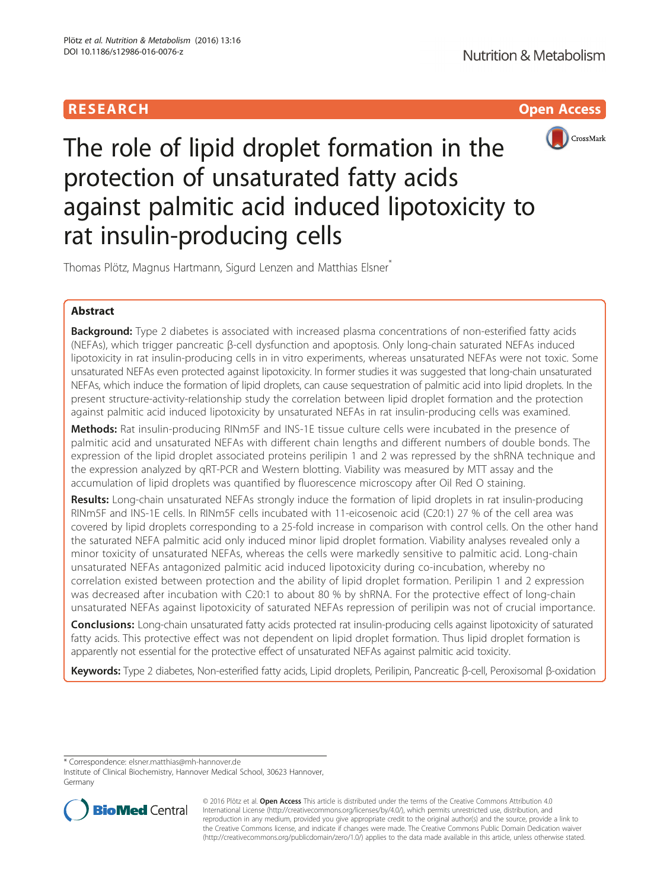# **RESEARCH CHILD CONTROL** CONTROL CONTROL CONTROL CONTROL CONTROL CONTROL CONTROL CONTROL CONTROL CONTROL CONTROL



The role of lipid droplet formation in the protection of unsaturated fatty acids against palmitic acid induced lipotoxicity to rat insulin-producing cells

Thomas Plötz, Magnus Hartmann, Sigurd Lenzen and Matthias Elsner<sup>\*</sup>

# Abstract

**Background:** Type 2 diabetes is associated with increased plasma concentrations of non-esterified fatty acids (NEFAs), which trigger pancreatic β-cell dysfunction and apoptosis. Only long-chain saturated NEFAs induced lipotoxicity in rat insulin-producing cells in in vitro experiments, whereas unsaturated NEFAs were not toxic. Some unsaturated NEFAs even protected against lipotoxicity. In former studies it was suggested that long-chain unsaturated NEFAs, which induce the formation of lipid droplets, can cause sequestration of palmitic acid into lipid droplets. In the present structure-activity-relationship study the correlation between lipid droplet formation and the protection against palmitic acid induced lipotoxicity by unsaturated NEFAs in rat insulin-producing cells was examined.

Methods: Rat insulin-producing RINm5F and INS-1E tissue culture cells were incubated in the presence of palmitic acid and unsaturated NEFAs with different chain lengths and different numbers of double bonds. The expression of the lipid droplet associated proteins perilipin 1 and 2 was repressed by the shRNA technique and the expression analyzed by qRT-PCR and Western blotting. Viability was measured by MTT assay and the accumulation of lipid droplets was quantified by fluorescence microscopy after Oil Red O staining.

Results: Long-chain unsaturated NEFAs strongly induce the formation of lipid droplets in rat insulin-producing RINm5F and INS-1E cells. In RINm5F cells incubated with 11-eicosenoic acid (C20:1) 27 % of the cell area was covered by lipid droplets corresponding to a 25-fold increase in comparison with control cells. On the other hand the saturated NEFA palmitic acid only induced minor lipid droplet formation. Viability analyses revealed only a minor toxicity of unsaturated NEFAs, whereas the cells were markedly sensitive to palmitic acid. Long-chain unsaturated NEFAs antagonized palmitic acid induced lipotoxicity during co-incubation, whereby no correlation existed between protection and the ability of lipid droplet formation. Perilipin 1 and 2 expression was decreased after incubation with C20:1 to about 80 % by shRNA. For the protective effect of long-chain unsaturated NEFAs against lipotoxicity of saturated NEFAs repression of perilipin was not of crucial importance.

**Conclusions:** Long-chain unsaturated fatty acids protected rat insulin-producing cells against lipotoxicity of saturated fatty acids. This protective effect was not dependent on lipid droplet formation. Thus lipid droplet formation is apparently not essential for the protective effect of unsaturated NEFAs against palmitic acid toxicity.

Keywords: Type 2 diabetes, Non-esterified fatty acids, Lipid droplets, Perilipin, Pancreatic β-cell, Peroxisomal β-oxidation

\* Correspondence: [elsner.matthias@mh-hannover.de](mailto:elsner.matthias@mh-hannover.de)

Institute of Clinical Biochemistry, Hannover Medical School, 30623 Hannover, Germany



© 2016 Plötz et al. Open Access This article is distributed under the terms of the Creative Commons Attribution 4.0 International License [\(http://creativecommons.org/licenses/by/4.0/](http://creativecommons.org/licenses/by/4.0/)), which permits unrestricted use, distribution, and reproduction in any medium, provided you give appropriate credit to the original author(s) and the source, provide a link to the Creative Commons license, and indicate if changes were made. The Creative Commons Public Domain Dedication waiver [\(http://creativecommons.org/publicdomain/zero/1.0/](http://creativecommons.org/publicdomain/zero/1.0/)) applies to the data made available in this article, unless otherwise stated.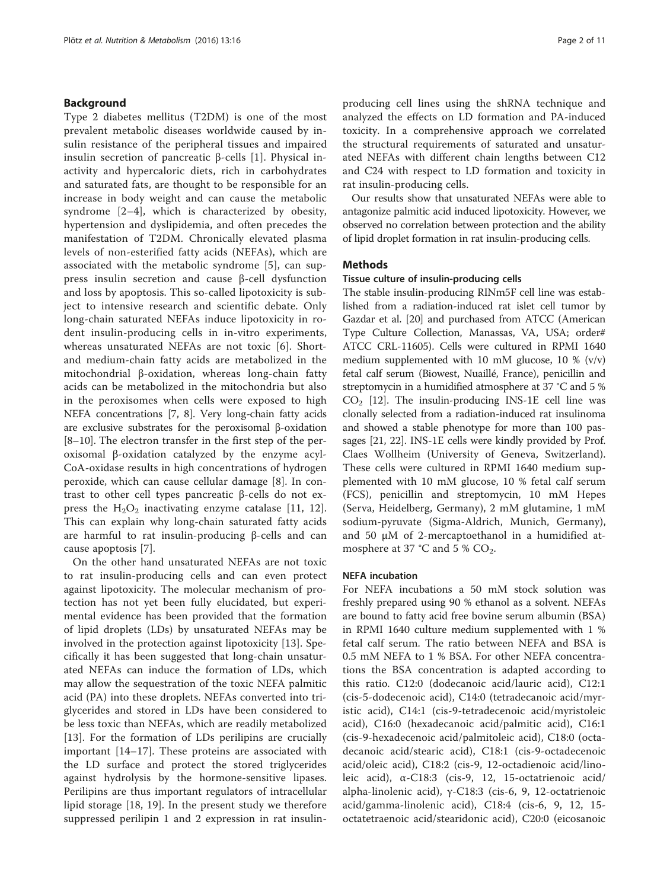## Background

Type 2 diabetes mellitus (T2DM) is one of the most prevalent metabolic diseases worldwide caused by insulin resistance of the peripheral tissues and impaired insulin secretion of pancreatic β-cells [[1](#page-10-0)]. Physical inactivity and hypercaloric diets, rich in carbohydrates and saturated fats, are thought to be responsible for an increase in body weight and can cause the metabolic syndrome [[2](#page-10-0)–[4\]](#page-10-0), which is characterized by obesity, hypertension and dyslipidemia, and often precedes the manifestation of T2DM. Chronically elevated plasma levels of non-esterified fatty acids (NEFAs), which are associated with the metabolic syndrome [\[5](#page-10-0)], can suppress insulin secretion and cause β-cell dysfunction and loss by apoptosis. This so-called lipotoxicity is subject to intensive research and scientific debate. Only long-chain saturated NEFAs induce lipotoxicity in rodent insulin-producing cells in in-vitro experiments, whereas unsaturated NEFAs are not toxic [[6\]](#page-10-0). Shortand medium-chain fatty acids are metabolized in the mitochondrial β-oxidation, whereas long-chain fatty acids can be metabolized in the mitochondria but also in the peroxisomes when cells were exposed to high NEFA concentrations [\[7](#page-10-0), [8](#page-10-0)]. Very long-chain fatty acids are exclusive substrates for the peroxisomal β-oxidation [[8](#page-10-0)–[10](#page-10-0)]. The electron transfer in the first step of the peroxisomal β-oxidation catalyzed by the enzyme acyl-CoA-oxidase results in high concentrations of hydrogen peroxide, which can cause cellular damage [[8](#page-10-0)]. In contrast to other cell types pancreatic β-cells do not express the  $H_2O_2$  inactivating enzyme catalase [\[11](#page-10-0), [12](#page-10-0)]. This can explain why long-chain saturated fatty acids are harmful to rat insulin-producing β-cells and can cause apoptosis [[7\]](#page-10-0).

On the other hand unsaturated NEFAs are not toxic to rat insulin-producing cells and can even protect against lipotoxicity. The molecular mechanism of protection has not yet been fully elucidated, but experimental evidence has been provided that the formation of lipid droplets (LDs) by unsaturated NEFAs may be involved in the protection against lipotoxicity [[13\]](#page-10-0). Specifically it has been suggested that long-chain unsaturated NEFAs can induce the formation of LDs, which may allow the sequestration of the toxic NEFA palmitic acid (PA) into these droplets. NEFAs converted into triglycerides and stored in LDs have been considered to be less toxic than NEFAs, which are readily metabolized [[13\]](#page-10-0). For the formation of LDs perilipins are crucially important [[14](#page-10-0)–[17\]](#page-10-0). These proteins are associated with the LD surface and protect the stored triglycerides against hydrolysis by the hormone-sensitive lipases. Perilipins are thus important regulators of intracellular lipid storage [[18](#page-10-0), [19\]](#page-10-0). In the present study we therefore suppressed perilipin 1 and 2 expression in rat insulinproducing cell lines using the shRNA technique and analyzed the effects on LD formation and PA-induced toxicity. In a comprehensive approach we correlated the structural requirements of saturated and unsaturated NEFAs with different chain lengths between C12 and C24 with respect to LD formation and toxicity in rat insulin-producing cells.

Our results show that unsaturated NEFAs were able to antagonize palmitic acid induced lipotoxicity. However, we observed no correlation between protection and the ability of lipid droplet formation in rat insulin-producing cells.

### Methods

### Tissue culture of insulin-producing cells

The stable insulin-producing RINm5F cell line was established from a radiation-induced rat islet cell tumor by Gazdar et al. [\[20\]](#page-10-0) and purchased from ATCC (American Type Culture Collection, Manassas, VA, USA; order# ATCC CRL-11605). Cells were cultured in RPMI 1640 medium supplemented with 10 mM glucose, 10 %  $(v/v)$ fetal calf serum (Biowest, Nuaillé, France), penicillin and streptomycin in a humidified atmosphere at 37 °C and 5 %  $CO<sub>2</sub>$  [\[12\]](#page-10-0). The insulin-producing INS-1E cell line was clonally selected from a radiation-induced rat insulinoma and showed a stable phenotype for more than 100 passages [[21](#page-10-0), [22](#page-10-0)]. INS-1E cells were kindly provided by Prof. Claes Wollheim (University of Geneva, Switzerland). These cells were cultured in RPMI 1640 medium supplemented with 10 mM glucose, 10 % fetal calf serum (FCS), penicillin and streptomycin, 10 mM Hepes (Serva, Heidelberg, Germany), 2 mM glutamine, 1 mM sodium-pyruvate (Sigma-Aldrich, Munich, Germany), and 50 μM of 2-mercaptoethanol in a humidified atmosphere at 37 °C and 5 %  $CO<sub>2</sub>$ .

### NEFA incubation

For NEFA incubations a 50 mM stock solution was freshly prepared using 90 % ethanol as a solvent. NEFAs are bound to fatty acid free bovine serum albumin (BSA) in RPMI 1640 culture medium supplemented with 1 % fetal calf serum. The ratio between NEFA and BSA is 0.5 mM NEFA to 1 % BSA. For other NEFA concentrations the BSA concentration is adapted according to this ratio. C12:0 (dodecanoic acid/lauric acid), C12:1 (cis-5-dodecenoic acid), C14:0 (tetradecanoic acid/myristic acid), C14:1 (cis-9-tetradecenoic acid/myristoleic acid), C16:0 (hexadecanoic acid/palmitic acid), C16:1 (cis-9-hexadecenoic acid/palmitoleic acid), C18:0 (octadecanoic acid/stearic acid), C18:1 (cis-9-octadecenoic acid/oleic acid), C18:2 (cis-9, 12-octadienoic acid/linoleic acid),  $α$ -C18:3 (cis-9, 12, 15-octatrienoic acid/ alpha-linolenic acid), γ-C18:3 (cis-6, 9, 12-octatrienoic acid/gamma-linolenic acid), C18:4 (cis-6, 9, 12, 15 octatetraenoic acid/stearidonic acid), C20:0 (eicosanoic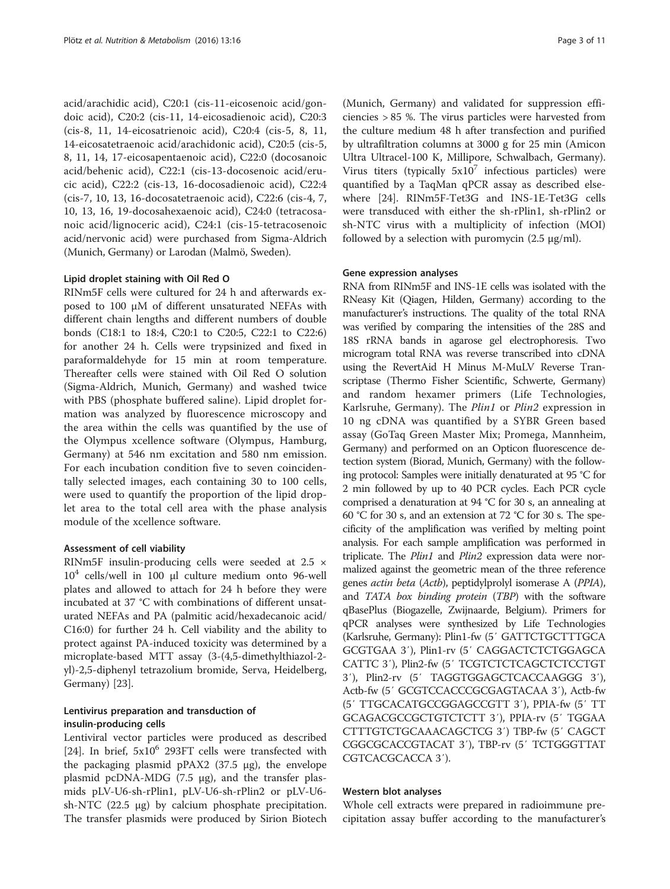acid/arachidic acid), C20:1 (cis-11-eicosenoic acid/gondoic acid), C20:2 (cis-11, 14-eicosadienoic acid), C20:3 (cis-8, 11, 14-eicosatrienoic acid), C20:4 (cis-5, 8, 11, 14-eicosatetraenoic acid/arachidonic acid), C20:5 (cis-5, 8, 11, 14, 17-eicosapentaenoic acid), C22:0 (docosanoic acid/behenic acid), C22:1 (cis-13-docosenoic acid/erucic acid), C22:2 (cis-13, 16-docosadienoic acid), C22:4 (cis-7, 10, 13, 16-docosatetraenoic acid), C22:6 (cis-4, 7, 10, 13, 16, 19-docosahexaenoic acid), C24:0 (tetracosanoic acid/lignoceric acid), C24:1 (cis-15-tetracosenoic acid/nervonic acid) were purchased from Sigma-Aldrich (Munich, Germany) or Larodan (Malmö, Sweden).

### Lipid droplet staining with Oil Red O

RINm5F cells were cultured for 24 h and afterwards exposed to 100 μM of different unsaturated NEFAs with different chain lengths and different numbers of double bonds (C18:1 to 18:4, C20:1 to C20:5, C22:1 to C22:6) for another 24 h. Cells were trypsinized and fixed in paraformaldehyde for 15 min at room temperature. Thereafter cells were stained with Oil Red O solution (Sigma-Aldrich, Munich, Germany) and washed twice with PBS (phosphate buffered saline). Lipid droplet formation was analyzed by fluorescence microscopy and the area within the cells was quantified by the use of the Olympus xcellence software (Olympus, Hamburg, Germany) at 546 nm excitation and 580 nm emission. For each incubation condition five to seven coincidentally selected images, each containing 30 to 100 cells, were used to quantify the proportion of the lipid droplet area to the total cell area with the phase analysis module of the xcellence software.

### Assessment of cell viability

RINm5F insulin-producing cells were seeded at 2.5 ×  $10<sup>4</sup>$  cells/well in 100 μl culture medium onto 96-well plates and allowed to attach for 24 h before they were incubated at 37 °C with combinations of different unsaturated NEFAs and PA (palmitic acid/hexadecanoic acid/ C16:0) for further 24 h. Cell viability and the ability to protect against PA-induced toxicity was determined by a microplate-based MTT assay (3-(4,5-dimethylthiazol-2 yl)-2,5-diphenyl tetrazolium bromide, Serva, Heidelberg, Germany) [[23](#page-10-0)].

## Lentivirus preparation and transduction of insulin-producing cells

Lentiviral vector particles were produced as described [[24\]](#page-10-0). In brief,  $5x10^6$  293FT cells were transfected with the packaging plasmid pPAX2 (37.5 μg), the envelope plasmid pcDNA-MDG (7.5 μg), and the transfer plasmids pLV-U6-sh-rPlin1, pLV-U6-sh-rPlin2 or pLV-U6 sh-NTC (22.5 μg) by calcium phosphate precipitation. The transfer plasmids were produced by Sirion Biotech (Munich, Germany) and validated for suppression efficiencies > 85 %. The virus particles were harvested from the culture medium 48 h after transfection and purified by ultrafiltration columns at 3000 g for 25 min (Amicon Ultra Ultracel-100 K, Millipore, Schwalbach, Germany). Virus titers (typically  $5x10^7$  infectious particles) were quantified by a TaqMan qPCR assay as described elsewhere [\[24](#page-10-0)]. RINm5F-Tet3G and INS-1E-Tet3G cells were transduced with either the sh-rPlin1, sh-rPlin2 or sh-NTC virus with a multiplicity of infection (MOI) followed by a selection with puromycin  $(2.5 \mu g/ml)$ .

### Gene expression analyses

RNA from RINm5F and INS-1E cells was isolated with the RNeasy Kit (Qiagen, Hilden, Germany) according to the manufacturer's instructions. The quality of the total RNA was verified by comparing the intensities of the 28S and 18S rRNA bands in agarose gel electrophoresis. Two microgram total RNA was reverse transcribed into cDNA using the RevertAid H Minus M-MuLV Reverse Transcriptase (Thermo Fisher Scientific, Schwerte, Germany) and random hexamer primers (Life Technologies, Karlsruhe, Germany). The *Plin1* or *Plin2* expression in 10 ng cDNA was quantified by a SYBR Green based assay (GoTaq Green Master Mix; Promega, Mannheim, Germany) and performed on an Opticon fluorescence detection system (Biorad, Munich, Germany) with the following protocol: Samples were initially denaturated at 95 °C for 2 min followed by up to 40 PCR cycles. Each PCR cycle comprised a denaturation at 94 °C for 30 s, an annealing at 60 °C for 30 s, and an extension at 72 °C for 30 s. The specificity of the amplification was verified by melting point analysis. For each sample amplification was performed in triplicate. The *Plin1* and *Plin2* expression data were normalized against the geometric mean of the three reference genes actin beta (Actb), peptidylprolyl isomerase A (PPIA), and TATA box binding protein (TBP) with the software qBasePlus (Biogazelle, Zwijnaarde, Belgium). Primers for qPCR analyses were synthesized by Life Technologies (Karlsruhe, Germany): Plin1-fw (5′ GATTCTGCTTTGCA GCGTGAA 3′), Plin1-rv (5′ CAGGACTCTCTGGAGCA CATTC 3′), Plin2-fw (5′ TCGTCTCTCAGCTCTCCTGT 3′), Plin2-rv (5′ TAGGTGGAGCTCACCAAGGG 3′), Actb-fw (5′ GCGTCCACCCGCGAGTACAA 3′), Actb-fw (5′ TTGCACATGCCGGAGCCGTT 3′), PPIA-fw (5′ TT GCAGACGCCGCTGTCTCTT 3′), PPIA-rv (5′ TGGAA CTTTGTCTGCAAACAGCTCG 3′) TBP-fw (5′ CAGCT CGGCGCACCGTACAT 3′), TBP-rv (5′ TCTGGGTTAT CGTCACGCACCA 3′).

### Western blot analyses

Whole cell extracts were prepared in radioimmune precipitation assay buffer according to the manufacturer's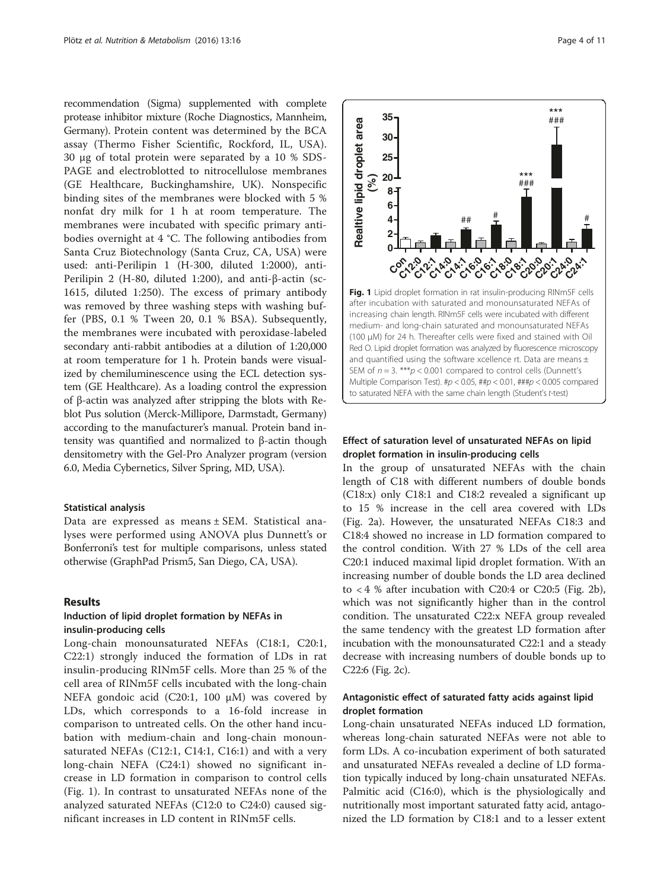recommendation (Sigma) supplemented with complete protease inhibitor mixture (Roche Diagnostics, Mannheim, Germany). Protein content was determined by the BCA assay (Thermo Fisher Scientific, Rockford, IL, USA). 30 μg of total protein were separated by a 10 % SDS-PAGE and electroblotted to nitrocellulose membranes (GE Healthcare, Buckinghamshire, UK). Nonspecific binding sites of the membranes were blocked with 5 % nonfat dry milk for 1 h at room temperature. The membranes were incubated with specific primary antibodies overnight at 4 °C. The following antibodies from Santa Cruz Biotechnology (Santa Cruz, CA, USA) were used: anti-Perilipin 1 (H-300, diluted 1:2000), anti-Perilipin 2 (H-80, diluted 1:200), and anti-β-actin (sc-1615, diluted 1:250). The excess of primary antibody was removed by three washing steps with washing buffer (PBS, 0.1 % Tween 20, 0.1 % BSA). Subsequently, the membranes were incubated with peroxidase-labeled secondary anti-rabbit antibodies at a dilution of 1:20,000 at room temperature for 1 h. Protein bands were visualized by chemiluminescence using the ECL detection system (GE Healthcare). As a loading control the expression of β-actin was analyzed after stripping the blots with Reblot Pus solution (Merck-Millipore, Darmstadt, Germany) according to the manufacturer's manual. Protein band intensity was quantified and normalized to β-actin though densitometry with the Gel-Pro Analyzer program (version 6.0, Media Cybernetics, Silver Spring, MD, USA).

### Statistical analysis

Data are expressed as means ± SEM. Statistical analyses were performed using ANOVA plus Dunnett's or Bonferroni's test for multiple comparisons, unless stated otherwise (GraphPad Prism5, San Diego, CA, USA).

### Results

## Induction of lipid droplet formation by NEFAs in insulin-producing cells

Long-chain monounsaturated NEFAs (C18:1, C20:1, C22:1) strongly induced the formation of LDs in rat insulin-producing RINm5F cells. More than 25 % of the cell area of RINm5F cells incubated with the long-chain NEFA gondoic acid (C20:1, 100 μM) was covered by LDs, which corresponds to a 16-fold increase in comparison to untreated cells. On the other hand incubation with medium-chain and long-chain monounsaturated NEFAs (C12:1, C14:1, C16:1) and with a very long-chain NEFA (C24:1) showed no significant increase in LD formation in comparison to control cells (Fig. 1). In contrast to unsaturated NEFAs none of the analyzed saturated NEFAs (C12:0 to C24:0) caused significant increases in LD content in RINm5F cells.



## Effect of saturation level of unsaturated NEFAs on lipid droplet formation in insulin-producing cells

In the group of unsaturated NEFAs with the chain length of C18 with different numbers of double bonds (C18:x) only C18:1 and C18:2 revealed a significant up to 15 % increase in the cell area covered with LDs (Fig. [2a\)](#page-4-0). However, the unsaturated NEFAs C18:3 and C18:4 showed no increase in LD formation compared to the control condition. With 27 % LDs of the cell area C20:1 induced maximal lipid droplet formation. With an increasing number of double bonds the LD area declined to  $< 4$  % after incubation with C20:4 or C20:5 (Fig. [2b](#page-4-0)), which was not significantly higher than in the control condition. The unsaturated C22:x NEFA group revealed the same tendency with the greatest LD formation after incubation with the monounsaturated C22:1 and a steady decrease with increasing numbers of double bonds up to C22:6 (Fig. [2c](#page-4-0)).

## Antagonistic effect of saturated fatty acids against lipid droplet formation

Long-chain unsaturated NEFAs induced LD formation, whereas long-chain saturated NEFAs were not able to form LDs. A co-incubation experiment of both saturated and unsaturated NEFAs revealed a decline of LD formation typically induced by long-chain unsaturated NEFAs. Palmitic acid (C16:0), which is the physiologically and nutritionally most important saturated fatty acid, antagonized the LD formation by C18:1 and to a lesser extent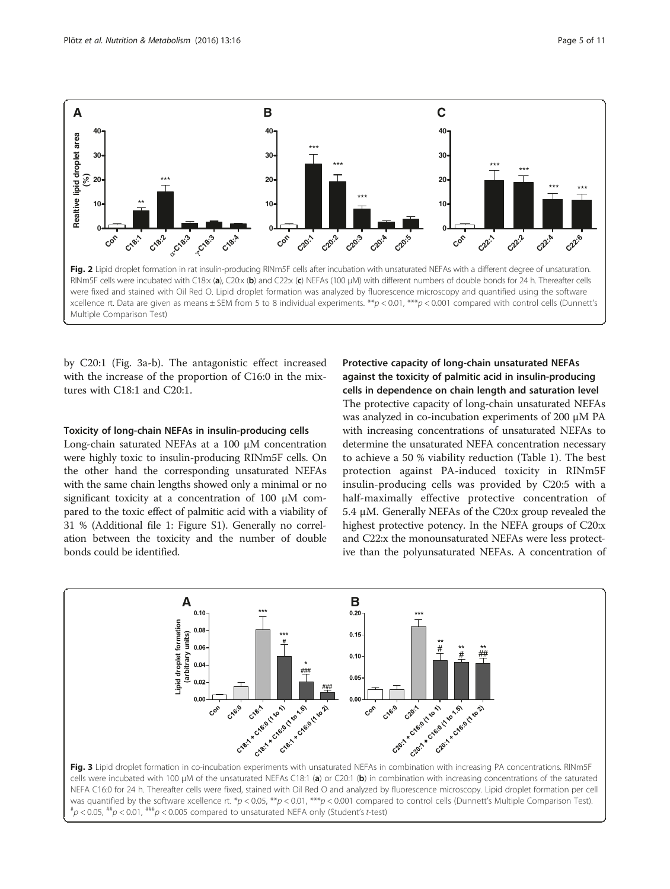<span id="page-4-0"></span>

by C20:1 (Fig. 3a-b). The antagonistic effect increased with the increase of the proportion of C16:0 in the mixtures with C18:1 and C20:1.

### Toxicity of long-chain NEFAs in insulin-producing cells

Long-chain saturated NEFAs at a 100 μM concentration were highly toxic to insulin-producing RINm5F cells. On the other hand the corresponding unsaturated NEFAs with the same chain lengths showed only a minimal or no significant toxicity at a concentration of 100 μM compared to the toxic effect of palmitic acid with a viability of 31 % (Additional file [1](#page-9-0): Figure S1). Generally no correlation between the toxicity and the number of double bonds could be identified.

Protective capacity of long-chain unsaturated NEFAs against the toxicity of palmitic acid in insulin-producing cells in dependence on chain length and saturation level

The protective capacity of long-chain unsaturated NEFAs was analyzed in co-incubation experiments of 200 μM PA with increasing concentrations of unsaturated NEFAs to determine the unsaturated NEFA concentration necessary to achieve a 50 % viability reduction (Table [1\)](#page-5-0). The best protection against PA-induced toxicity in RINm5F insulin-producing cells was provided by C20:5 with a half-maximally effective protective concentration of 5.4 μM. Generally NEFAs of the C20:x group revealed the highest protective potency. In the NEFA groups of C20:x and C22:x the monounsaturated NEFAs were less protective than the polyunsaturated NEFAs. A concentration of



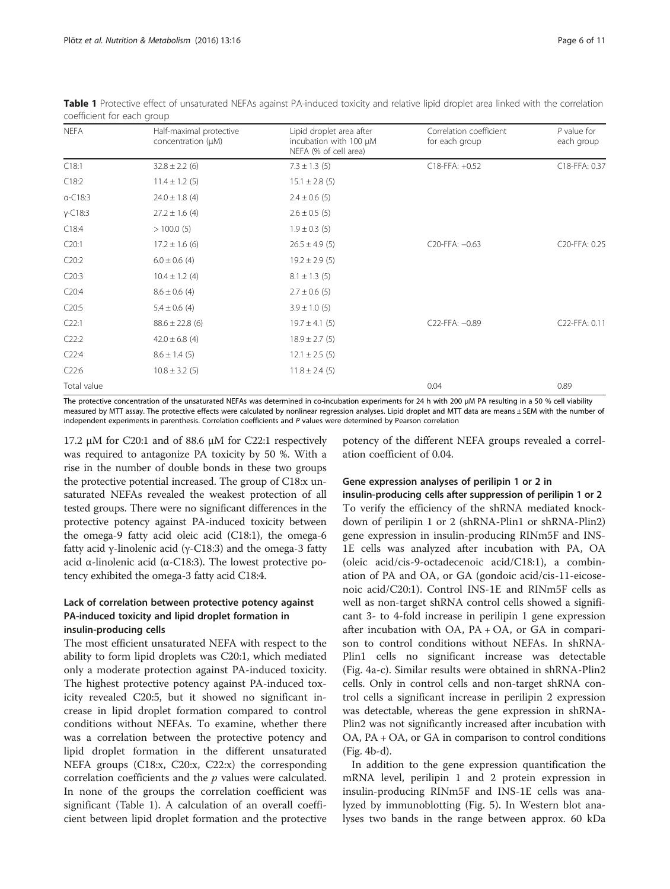| <b>NEFA</b> | Half-maximal protective<br>concentration (µM) | Lipid droplet area after<br>incubation with 100 $\mu$ M<br>NEFA (% of cell area) | Correlation coefficient<br>for each group | $P$ value for<br>each group |
|-------------|-----------------------------------------------|----------------------------------------------------------------------------------|-------------------------------------------|-----------------------------|
| C18:1       | $32.8 \pm 2.2$ (6)                            | $7.3 \pm 1.3$ (5)                                                                | C18-FFA: +0.52                            | C18-FFA: 0.37               |
| C18:2       | $11.4 \pm 1.2$ (5)                            | $15.1 \pm 2.8$ (5)                                                               |                                           |                             |
| $a-C18:3$   | $24.0 \pm 1.8$ (4)                            | $2.4 \pm 0.6$ (5)                                                                |                                           |                             |
| $Y-C18:3$   | $27.2 \pm 1.6$ (4)                            | $2.6 \pm 0.5$ (5)                                                                |                                           |                             |
| C18:4       | >100.0(5)                                     | $1.9 \pm 0.3$ (5)                                                                |                                           |                             |
| C20:1       | $17.2 \pm 1.6$ (6)                            | $26.5 \pm 4.9$ (5)                                                               | C20-FFA: -0.63                            | C20-FFA: 0.25               |
| C20:2       | $6.0 \pm 0.6$ (4)                             | $19.2 \pm 2.9$ (5)                                                               |                                           |                             |
| C20:3       | $10.4 \pm 1.2$ (4)                            | $8.1 \pm 1.3$ (5)                                                                |                                           |                             |
| C20:4       | $8.6 \pm 0.6$ (4)                             | $2.7 \pm 0.6$ (5)                                                                |                                           |                             |
| C20:5       | $5.4 \pm 0.6$ (4)                             | $3.9 \pm 1.0$ (5)                                                                |                                           |                             |
| C22:1       | $88.6 \pm 22.8$ (6)                           | $19.7 \pm 4.1$ (5)                                                               | C22-FFA: -0.89                            | C22-FFA: 0.11               |
| C22:2       | $42.0 \pm 6.8$ (4)                            | $18.9 \pm 2.7$ (5)                                                               |                                           |                             |
| C22:4       | $8.6 \pm 1.4$ (5)                             | $12.1 \pm 2.5$ (5)                                                               |                                           |                             |
| C22:6       | $10.8 \pm 3.2$ (5)                            | $11.8 \pm 2.4$ (5)                                                               |                                           |                             |
| Total value |                                               |                                                                                  | 0.04                                      | 0.89                        |

<span id="page-5-0"></span>Table 1 Protective effect of unsaturated NEFAs against PA-induced toxicity and relative lipid droplet area linked with the correlation coefficient for each group

The protective concentration of the unsaturated NEFAs was determined in co-incubation experiments for 24 h with 200 μM PA resulting in a 50 % cell viability measured by MTT assay. The protective effects were calculated by nonlinear regression analyses. Lipid droplet and MTT data are means ± SEM with the number of independent experiments in parenthesis. Correlation coefficients and P values were determined by Pearson correlation

17.2 μM for C20:1 and of 88.6 μM for C22:1 respectively was required to antagonize PA toxicity by 50 %. With a rise in the number of double bonds in these two groups the protective potential increased. The group of C18:x unsaturated NEFAs revealed the weakest protection of all tested groups. There were no significant differences in the protective potency against PA-induced toxicity between the omega-9 fatty acid oleic acid (C18:1), the omega-6 fatty acid γ-linolenic acid (γ-C18:3) and the omega-3 fatty acid α-linolenic acid ( $α$ -C18:3). The lowest protective potency exhibited the omega-3 fatty acid C18:4.

# Lack of correlation between protective potency against PA-induced toxicity and lipid droplet formation in

# insulin-producing cells

The most efficient unsaturated NEFA with respect to the ability to form lipid droplets was C20:1, which mediated only a moderate protection against PA-induced toxicity. The highest protective potency against PA-induced toxicity revealed C20:5, but it showed no significant increase in lipid droplet formation compared to control conditions without NEFAs. To examine, whether there was a correlation between the protective potency and lipid droplet formation in the different unsaturated NEFA groups (C18:x, C20:x, C22:x) the corresponding correlation coefficients and the  $p$  values were calculated. In none of the groups the correlation coefficient was significant (Table 1). A calculation of an overall coefficient between lipid droplet formation and the protective

potency of the different NEFA groups revealed a correlation coefficient of 0.04.

# Gene expression analyses of perilipin 1 or 2 in

insulin-producing cells after suppression of perilipin 1 or 2 To verify the efficiency of the shRNA mediated knockdown of perilipin 1 or 2 (shRNA-Plin1 or shRNA-Plin2) gene expression in insulin-producing RINm5F and INS-1E cells was analyzed after incubation with PA, OA (oleic acid/cis-9-octadecenoic acid/C18:1), a combination of PA and OA, or GA (gondoic acid/cis-11-eicosenoic acid/C20:1). Control INS-1E and RINm5F cells as well as non-target shRNA control cells showed a significant 3- to 4-fold increase in perilipin 1 gene expression after incubation with  $OA$ ,  $PA + OA$ , or  $GA$  in comparison to control conditions without NEFAs. In shRNA-Plin1 cells no significant increase was detectable (Fig. [4a-c\)](#page-6-0). Similar results were obtained in shRNA-Plin2 cells. Only in control cells and non-target shRNA control cells a significant increase in perilipin 2 expression was detectable, whereas the gene expression in shRNA-Plin2 was not significantly increased after incubation with OA, PA + OA, or GA in comparison to control conditions (Fig. [4b-d](#page-6-0)).

In addition to the gene expression quantification the mRNA level, perilipin 1 and 2 protein expression in insulin-producing RINm5F and INS-1E cells was analyzed by immunoblotting (Fig. [5](#page-7-0)). In Western blot analyses two bands in the range between approx. 60 kDa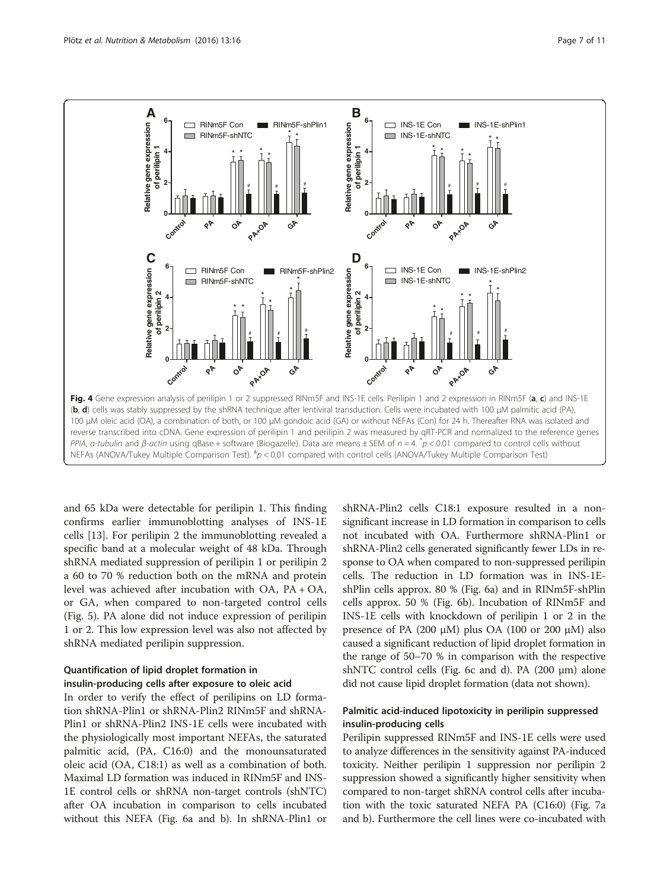<span id="page-6-0"></span>

and 65 kDa were detectable for perilipin 1. This finding confirms earlier immunoblotting analyses of INS-1E cells [[13\]](#page-10-0). For perilipin 2 the immunoblotting revealed a specific band at a molecular weight of 48 kDa. Through shRNA mediated suppression of perilipin 1 or perilipin 2 a 60 to 70 % reduction both on the mRNA and protein level was achieved after incubation with OA, PA + OA, or GA, when compared to non-targeted control cells (Fig. [5\)](#page-7-0). PA alone did not induce expression of perilipin 1 or 2. This low expression level was also not affected by shRNA mediated perilipin suppression.

# Quantification of lipid droplet formation in insulin-producing cells after exposure to oleic acid

In order to verify the effect of perilipins on LD formation shRNA-Plin1 or shRNA-Plin2 RINm5F and shRNA-Plin1 or shRNA-Plin2 INS-1E cells were incubated with the physiologically most important NEFAs, the saturated palmitic acid, (PA, C16:0) and the monounsaturated oleic acid (OA, C18:1) as well as a combination of both. Maximal LD formation was induced in RINm5F and INS-1E control cells or shRNA non-target controls (shNTC) after OA incubation in comparison to cells incubated without this NEFA (Fig. [6a](#page-8-0) and [b\)](#page-8-0). In shRNA-Plin1 or

shRNA-Plin2 cells C18:1 exposure resulted in a nonsignificant increase in LD formation in comparison to cells not incubated with OA. Furthermore shRNA-Plin1 or shRNA-Plin2 cells generated significantly fewer LDs in response to OA when compared to non-suppressed perilipin cells. The reduction in LD formation was in INS-1EshPlin cells approx. 80 % (Fig. [6a\)](#page-8-0) and in RINm5F-shPlin cells approx. 50 % (Fig. [6b](#page-8-0)). Incubation of RINm5F and INS-1E cells with knockdown of perilipin 1 or 2 in the presence of PA (200 μM) plus OA (100 or 200 μM) also caused a significant reduction of lipid droplet formation in the range of 50–70 % in comparison with the respective shNTC control cells (Fig. [6c](#page-8-0) and [d](#page-8-0)). PA (200 μm) alone did not cause lipid droplet formation (data not shown).

## Palmitic acid-induced lipotoxicity in perilipin suppressed insulin-producing cells

Perilipin suppressed RINm5F and INS-1E cells were used to analyze differences in the sensitivity against PA-induced toxicity. Neither perilipin 1 suppression nor perilipin 2 suppression showed a significantly higher sensitivity when compared to non-target shRNA control cells after incubation with the toxic saturated NEFA PA (C16:0) (Fig. [7a](#page-9-0) and [b\)](#page-9-0). Furthermore the cell lines were co-incubated with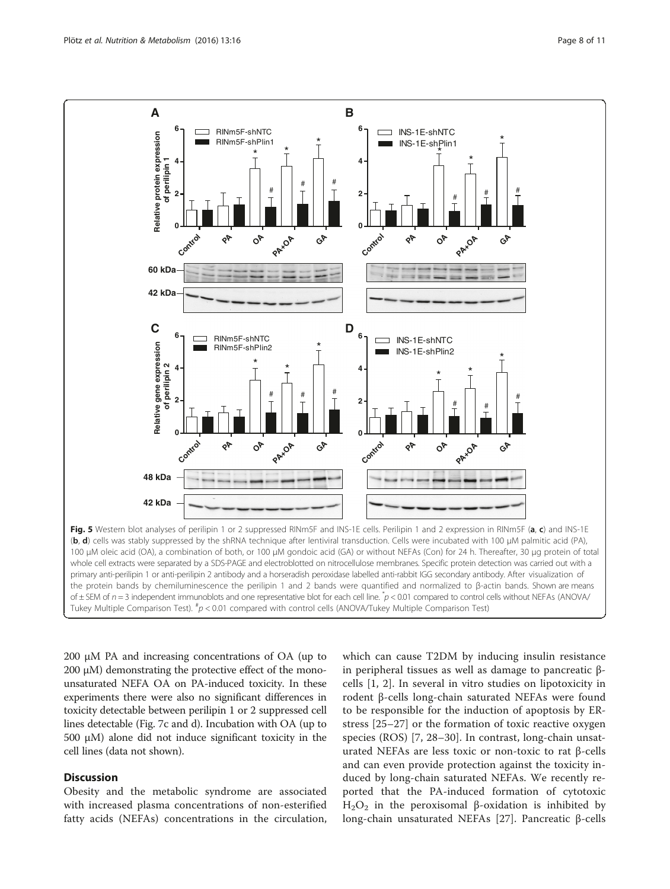<span id="page-7-0"></span>

200 μM PA and increasing concentrations of OA (up to 200 μM) demonstrating the protective effect of the monounsaturated NEFA OA on PA-induced toxicity. In these experiments there were also no significant differences in toxicity detectable between perilipin 1 or 2 suppressed cell lines detectable (Fig. [7c](#page-9-0) and [d](#page-9-0)). Incubation with OA (up to 500 μM) alone did not induce significant toxicity in the cell lines (data not shown).

## **Discussion**

Obesity and the metabolic syndrome are associated with increased plasma concentrations of non-esterified fatty acids (NEFAs) concentrations in the circulation,

which can cause T2DM by inducing insulin resistance in peripheral tissues as well as damage to pancreatic βcells [[1, 2](#page-10-0)]. In several in vitro studies on lipotoxicity in rodent β-cells long-chain saturated NEFAs were found to be responsible for the induction of apoptosis by ERstress [\[25](#page-10-0)–[27](#page-10-0)] or the formation of toxic reactive oxygen species (ROS) [[7, 28](#page-10-0)–[30](#page-10-0)]. In contrast, long-chain unsaturated NEFAs are less toxic or non-toxic to rat β-cells and can even provide protection against the toxicity induced by long-chain saturated NEFAs. We recently reported that the PA-induced formation of cytotoxic H<sub>2</sub>O<sub>2</sub> in the peroxisomal β-oxidation is inhibited by long-chain unsaturated NEFAs [[27\]](#page-10-0). Pancreatic β-cells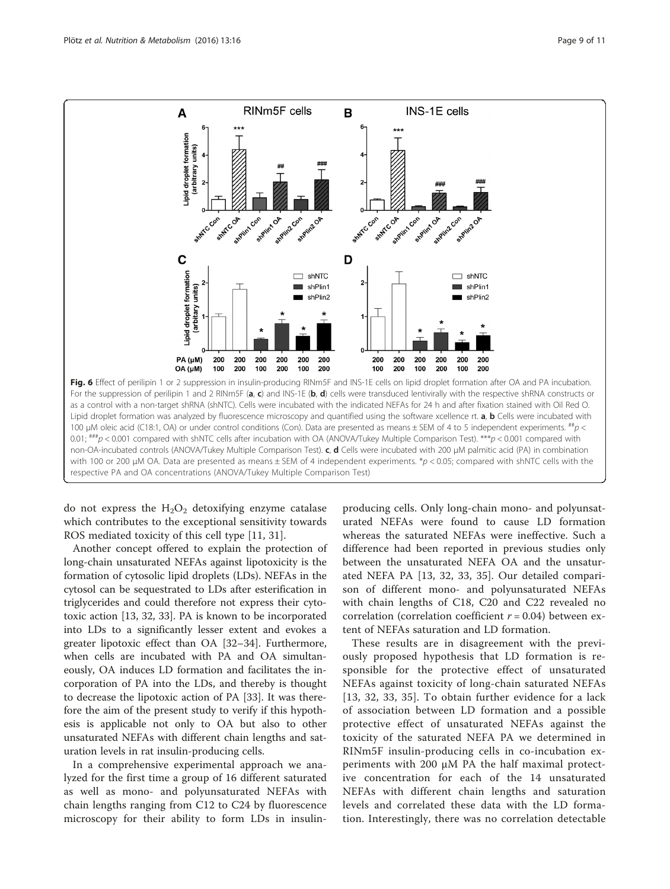<span id="page-8-0"></span>

do not express the  $H_2O_2$  detoxifying enzyme catalase which contributes to the exceptional sensitivity towards ROS mediated toxicity of this cell type [[11, 31\]](#page-10-0).

Another concept offered to explain the protection of long-chain unsaturated NEFAs against lipotoxicity is the formation of cytosolic lipid droplets (LDs). NEFAs in the cytosol can be sequestrated to LDs after esterification in triglycerides and could therefore not express their cytotoxic action [\[13, 32, 33\]](#page-10-0). PA is known to be incorporated into LDs to a significantly lesser extent and evokes a greater lipotoxic effect than OA [\[32](#page-10-0)–[34\]](#page-10-0). Furthermore, when cells are incubated with PA and OA simultaneously, OA induces LD formation and facilitates the incorporation of PA into the LDs, and thereby is thought to decrease the lipotoxic action of PA [\[33](#page-10-0)]. It was therefore the aim of the present study to verify if this hypothesis is applicable not only to OA but also to other unsaturated NEFAs with different chain lengths and saturation levels in rat insulin-producing cells.

In a comprehensive experimental approach we analyzed for the first time a group of 16 different saturated as well as mono- and polyunsaturated NEFAs with chain lengths ranging from C12 to C24 by fluorescence microscopy for their ability to form LDs in insulinproducing cells. Only long-chain mono- and polyunsaturated NEFAs were found to cause LD formation whereas the saturated NEFAs were ineffective. Such a difference had been reported in previous studies only between the unsaturated NEFA OA and the unsaturated NEFA PA [[13, 32](#page-10-0), [33](#page-10-0), [35\]](#page-10-0). Our detailed comparison of different mono- and polyunsaturated NEFAs with chain lengths of C18, C20 and C22 revealed no correlation (correlation coefficient  $r = 0.04$ ) between extent of NEFAs saturation and LD formation.

These results are in disagreement with the previously proposed hypothesis that LD formation is responsible for the protective effect of unsaturated NEFAs against toxicity of long-chain saturated NEFAs [[13](#page-10-0), [32, 33, 35](#page-10-0)]. To obtain further evidence for a lack of association between LD formation and a possible protective effect of unsaturated NEFAs against the toxicity of the saturated NEFA PA we determined in RINm5F insulin-producing cells in co-incubation experiments with 200 μM PA the half maximal protective concentration for each of the 14 unsaturated NEFAs with different chain lengths and saturation levels and correlated these data with the LD formation. Interestingly, there was no correlation detectable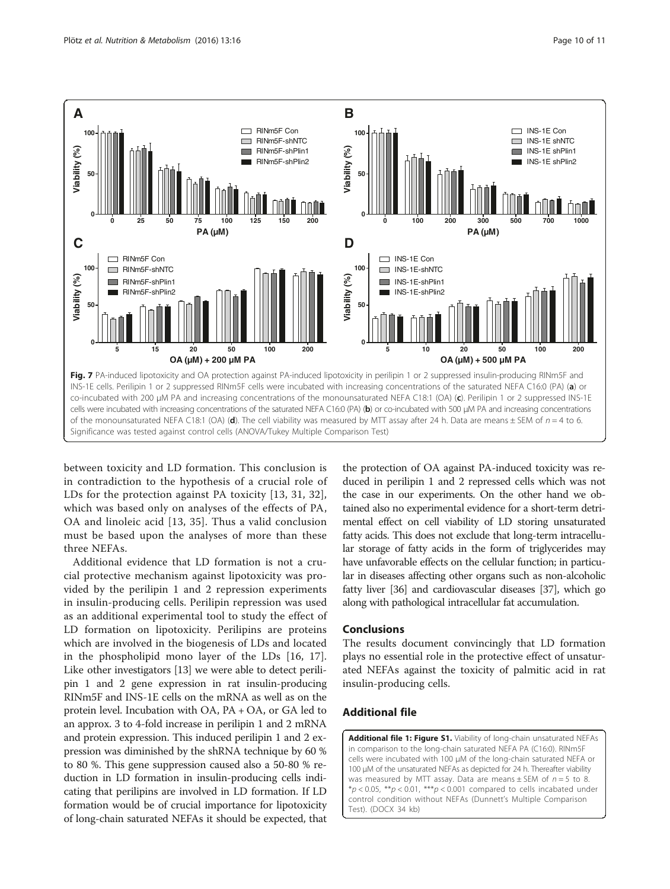<span id="page-9-0"></span>

between toxicity and LD formation. This conclusion is in contradiction to the hypothesis of a crucial role of LDs for the protection against PA toxicity [\[13](#page-10-0), [31](#page-10-0), [32](#page-10-0)], which was based only on analyses of the effects of PA, OA and linoleic acid [[13](#page-10-0), [35\]](#page-10-0). Thus a valid conclusion must be based upon the analyses of more than these three NEFAs.

Additional evidence that LD formation is not a crucial protective mechanism against lipotoxicity was provided by the perilipin 1 and 2 repression experiments in insulin-producing cells. Perilipin repression was used as an additional experimental tool to study the effect of LD formation on lipotoxicity. Perilipins are proteins which are involved in the biogenesis of LDs and located in the phospholipid mono layer of the LDs [[16, 17](#page-10-0)]. Like other investigators [[13](#page-10-0)] we were able to detect perilipin 1 and 2 gene expression in rat insulin-producing RINm5F and INS-1E cells on the mRNA as well as on the protein level. Incubation with OA, PA + OA, or GA led to an approx. 3 to 4-fold increase in perilipin 1 and 2 mRNA and protein expression. This induced perilipin 1 and 2 expression was diminished by the shRNA technique by 60 % to 80 %. This gene suppression caused also a 50-80 % reduction in LD formation in insulin-producing cells indicating that perilipins are involved in LD formation. If LD formation would be of crucial importance for lipotoxicity of long-chain saturated NEFAs it should be expected, that

the protection of OA against PA-induced toxicity was reduced in perilipin 1 and 2 repressed cells which was not the case in our experiments. On the other hand we obtained also no experimental evidence for a short-term detrimental effect on cell viability of LD storing unsaturated fatty acids. This does not exclude that long-term intracellular storage of fatty acids in the form of triglycerides may have unfavorable effects on the cellular function; in particular in diseases affecting other organs such as non-alcoholic fatty liver [[36](#page-10-0)] and cardiovascular diseases [\[37](#page-10-0)], which go along with pathological intracellular fat accumulation.

### Conclusions

The results document convincingly that LD formation plays no essential role in the protective effect of unsaturated NEFAs against the toxicity of palmitic acid in rat insulin-producing cells.

## Additional file

[Additional file 1: Figure S1.](dx.doi.org/10.1186/s12986-016-0076-z) Viability of long-chain unsaturated NEFAs in comparison to the long-chain saturated NEFA PA (C16:0). RINm5F cells were incubated with 100 μM of the long-chain saturated NEFA or 100 μM of the unsaturated NEFAs as depicted for 24 h. Thereafter viability was measured by MTT assay. Data are means  $\pm$  SEM of  $n = 5$  to 8. \*p < 0.05, \*\*p < 0.01, \*\*\*p < 0.001 compared to cells incabated under control condition without NEFAs (Dunnett's Multiple Comparison Test). (DOCX 34 kb)